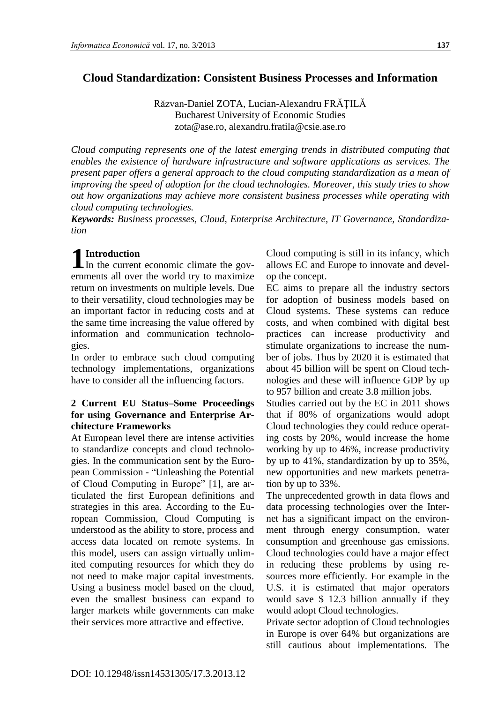# **Cloud Standardization: Consistent Business Processes and Information**

Răzvan-Daniel ZOTA, Lucian-Alexandru FRĂŢILĂ Bucharest University of Economic Studies zota@ase.ro, alexandru.fratila@csie.ase.ro

*Cloud computing represents one of the latest emerging trends in distributed computing that enables the existence of hardware infrastructure and software applications as services. The present paper offers a general approach to the cloud computing standardization as a mean of improving the speed of adoption for the cloud technologies. Moreover, this study tries to show out how organizations may achieve more consistent business processes while operating with cloud computing technologies.*

*Keywords: Business processes, Cloud, Enterprise Architecture, IT Governance, Standardization*

# **Introduction**

**1** In the current economic climate the governments all over the world try to maximize return on investments on multiple levels. Due to their versatility, cloud technologies may be an important factor in reducing costs and at the same time increasing the value offered by information and communication technologies.

In order to embrace such cloud computing technology implementations, organizations have to consider all the influencing factors.

### **2 Current EU Status–Some Proceedings for using Governance and Enterprise Architecture Frameworks**

At European level there are intense activities to standardize concepts and cloud technologies. In the communication sent by the European Commission - "Unleashing the Potential of Cloud Computing in Europe" [1], are articulated the first European definitions and strategies in this area. According to the European Commission, Cloud Computing is understood as the ability to store, process and access data located on remote systems. In this model, users can assign virtually unlimited computing resources for which they do not need to make major capital investments. Using a business model based on the cloud, even the smallest business can expand to larger markets while governments can make their services more attractive and effective.

Cloud computing is still in its infancy, which allows EC and Europe to innovate and develop the concept.

EC aims to prepare all the industry sectors for adoption of business models based on Cloud systems. These systems can reduce costs, and when combined with digital best practices can increase productivity and stimulate organizations to increase the number of jobs. Thus by 2020 it is estimated that about 45 billion will be spent on Cloud technologies and these will influence GDP by up to 957 billion and create 3.8 million jobs.

Studies carried out by the EC in 2011 shows that if 80% of organizations would adopt Cloud technologies they could reduce operating costs by 20%, would increase the home working by up to 46%, increase productivity by up to 41%, standardization by up to 35%, new opportunities and new markets penetration by up to 33%.

The unprecedented growth in data flows and data processing technologies over the Internet has a significant impact on the environment through energy consumption, water consumption and greenhouse gas emissions. Cloud technologies could have a major effect in reducing these problems by using resources more efficiently. For example in the U.S. it is estimated that major operators would save \$ 12.3 billion annually if they would adopt Cloud technologies.

Private sector adoption of Cloud technologies in Europe is over 64% but organizations are still cautious about implementations. The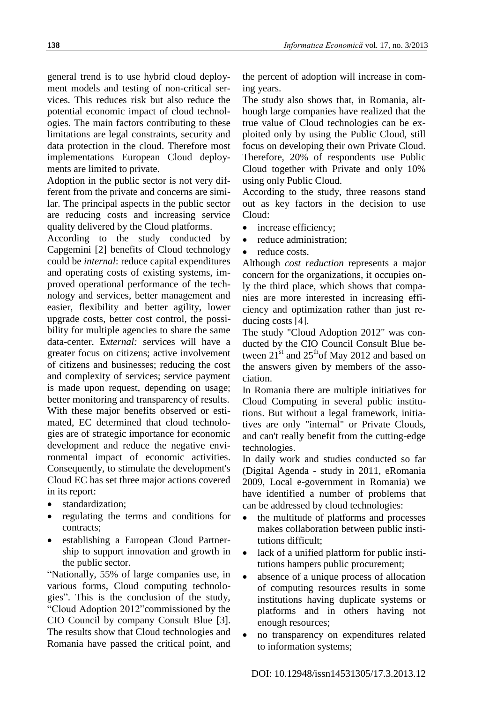general trend is to use hybrid cloud deployment models and testing of non-critical services. This reduces risk but also reduce the potential economic impact of cloud technologies. The main factors contributing to these limitations are legal constraints, security and data protection in the cloud. Therefore most implementations European Cloud deployments are limited to private.

Adoption in the public sector is not very different from the private and concerns are similar. The principal aspects in the public sector are reducing costs and increasing service quality delivered by the Cloud platforms.

According to the study conducted by Capgemini [2] benefits of Cloud technology could be *internal*: reduce capital expenditures and operating costs of existing systems, improved operational performance of the technology and services, better management and easier, flexibility and better agility, lower upgrade costs, better cost control, the possibility for multiple agencies to share the same data-center. E*xternal:* services will have a greater focus on citizens; active involvement of citizens and businesses; reducing the cost and complexity of services; service payment is made upon request, depending on usage; better monitoring and transparency of results. With these major benefits observed or estimated, EC determined that cloud technologies are of strategic importance for economic development and reduce the negative environmental impact of economic activities. Consequently, to stimulate the development's Cloud EC has set three major actions covered in its report:

- standardization;
- regulating the terms and conditions for contracts;
- establishing a European Cloud Partnership to support innovation and growth in the public sector.

"Nationally, 55% of large companies use, in various forms, Cloud computing technologies". This is the conclusion of the study, "Cloud Adoption 2012"commissioned by the CIO Council by company Consult Blue [3]. The results show that Cloud technologies and Romania have passed the critical point, and

the percent of adoption will increase in coming years.

The study also shows that, in Romania, although large companies have realized that the true value of Cloud technologies can be exploited only by using the Public Cloud, still focus on developing their own Private Cloud. Therefore, 20% of respondents use Public Cloud together with Private and only 10% using only Public Cloud.

According to the study, three reasons stand out as key factors in the decision to use Cloud:

- increase efficiency;
- reduce administration;
- reduce costs.

Although *cost reduction* represents a major concern for the organizations, it occupies only the third place, which shows that companies are more interested in increasing efficiency and optimization rather than just reducing costs [4].

The study "Cloud Adoption 2012" was conducted by the CIO Council Consult Blue between  $21<sup>st</sup>$  and  $25<sup>th</sup>$ of May 2012 and based on the answers given by members of the association.

In Romania there are multiple initiatives for Cloud Computing in several public institutions. But without a legal framework, initiatives are only "internal" or Private Clouds, and can't really benefit from the cutting-edge technologies.

In daily work and studies conducted so far (Digital Agenda - study in 2011, eRomania 2009, Local e-government in Romania) we have identified a number of problems that can be addressed by cloud technologies:

- the multitude of platforms and processes makes collaboration between public institutions difficult;
- lack of a unified platform for public institutions hampers public procurement;
- absence of a unique process of allocation of computing resources results in some institutions having duplicate systems or platforms and in others having not enough resources;
- no transparency on expenditures related to information systems;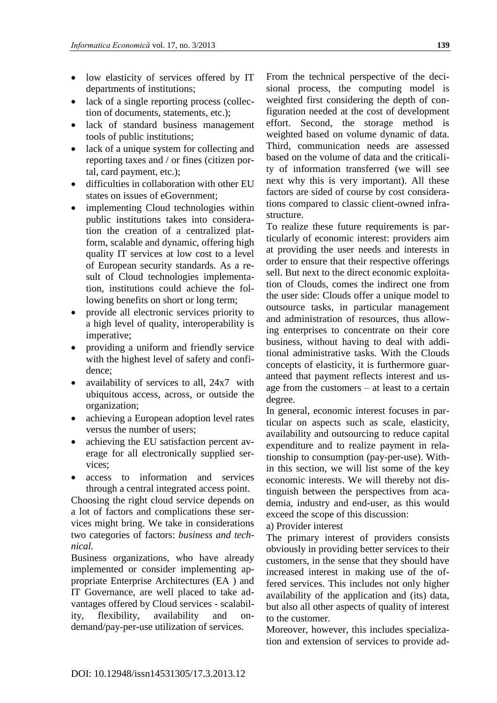- low elasticity of services offered by IT departments of institutions;
- lack of a single reporting process (collection of documents, statements, etc.);
- lack of standard business management tools of public institutions;
- lack of a unique system for collecting and reporting taxes and / or fines (citizen portal, card payment, etc.);
- difficulties in collaboration with other EU states on issues of eGovernment;
- implementing Cloud technologies within public institutions takes into consideration the creation of a centralized platform, scalable and dynamic, offering high quality IT services at low cost to a level of European security standards. As a result of Cloud technologies implementation, institutions could achieve the following benefits on short or long term;
- provide all electronic services priority to a high level of quality, interoperability is imperative;
- providing a uniform and friendly service with the highest level of safety and confidence;
- availability of services to all, 24x7 with ubiquitous access, across, or outside the organization;
- achieving a European adoption level rates versus the number of users;
- achieving the EU satisfaction percent average for all electronically supplied services;
- access to information and services through a central integrated access point.

Choosing the right cloud service depends on a lot of factors and complications these services might bring. We take in considerations two categories of factors: *business and technical.*

Business organizations, who have already implemented or consider implementing appropriate Enterprise Architectures (EA ) and IT Governance, are well placed to take advantages offered by Cloud services - scalability, flexibility, availability and ondemand/pay-per-use utilization of services.

From the technical perspective of the decisional process, the computing model is weighted first considering the depth of configuration needed at the cost of development effort. Second, the storage method is weighted based on volume dynamic of data. Third, communication needs are assessed based on the volume of data and the criticality of information transferred (we will see next why this is very important). All these factors are sided of course by cost considerations compared to classic client-owned infrastructure.

To realize these future requirements is particularly of economic interest: providers aim at providing the user needs and interests in order to ensure that their respective offerings sell. But next to the direct economic exploitation of Clouds, comes the indirect one from the user side: Clouds offer a unique model to outsource tasks, in particular management and administration of resources, thus allowing enterprises to concentrate on their core business, without having to deal with additional administrative tasks. With the Clouds concepts of elasticity, it is furthermore guaranteed that payment reflects interest and usage from the customers – at least to a certain degree.

In general, economic interest focuses in particular on aspects such as scale, elasticity, availability and outsourcing to reduce capital expenditure and to realize payment in relationship to consumption (pay-per-use). Within this section, we will list some of the key economic interests. We will thereby not distinguish between the perspectives from academia, industry and end-user, as this would exceed the scope of this discussion:

a) Provider interest

The primary interest of providers consists obviously in providing better services to their customers, in the sense that they should have increased interest in making use of the offered services. This includes not only higher availability of the application and (its) data, but also all other aspects of quality of interest to the customer.

Moreover, however, this includes specialization and extension of services to provide ad-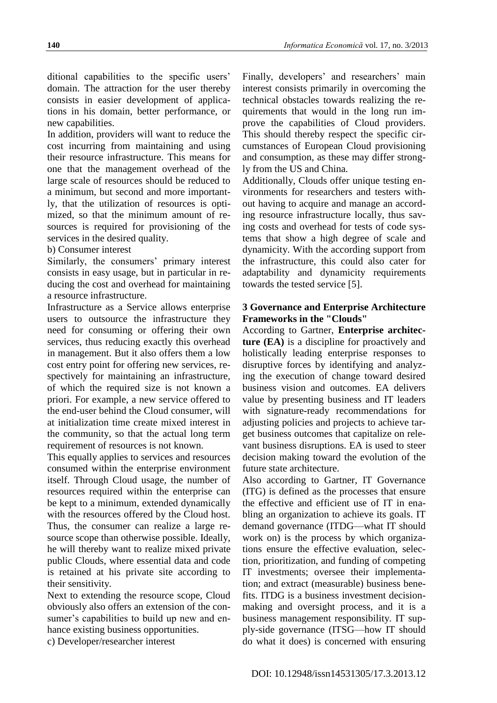ditional capabilities to the specific users' domain. The attraction for the user thereby consists in easier development of applications in his domain, better performance, or new capabilities.

In addition, providers will want to reduce the cost incurring from maintaining and using their resource infrastructure. This means for one that the management overhead of the large scale of resources should be reduced to a minimum, but second and more importantly, that the utilization of resources is optimized, so that the minimum amount of resources is required for provisioning of the services in the desired quality.

#### b) Consumer interest

Similarly, the consumers' primary interest consists in easy usage, but in particular in reducing the cost and overhead for maintaining a resource infrastructure.

Infrastructure as a Service allows enterprise users to outsource the infrastructure they need for consuming or offering their own services, thus reducing exactly this overhead in management. But it also offers them a low cost entry point for offering new services, respectively for maintaining an infrastructure, of which the required size is not known a priori. For example, a new service offered to the end-user behind the Cloud consumer, will at initialization time create mixed interest in the community, so that the actual long term requirement of resources is not known.

This equally applies to services and resources consumed within the enterprise environment itself. Through Cloud usage, the number of resources required within the enterprise can be kept to a minimum, extended dynamically with the resources offered by the Cloud host. Thus, the consumer can realize a large resource scope than otherwise possible. Ideally, he will thereby want to realize mixed private public Clouds, where essential data and code is retained at his private site according to their sensitivity.

Next to extending the resource scope, Cloud obviously also offers an extension of the consumer's capabilities to build up new and enhance existing business opportunities.

c) Developer/researcher interest

Finally, developers' and researchers' main interest consists primarily in overcoming the technical obstacles towards realizing the requirements that would in the long run improve the capabilities of Cloud providers. This should thereby respect the specific circumstances of European Cloud provisioning and consumption, as these may differ strongly from the US and China.

Additionally, Clouds offer unique testing environments for researchers and testers without having to acquire and manage an according resource infrastructure locally, thus saving costs and overhead for tests of code systems that show a high degree of scale and dynamicity. With the according support from the infrastructure, this could also cater for adaptability and dynamicity requirements towards the tested service [5].

# **3 Governance and Enterprise Architecture Frameworks in the "Clouds"**

According to Gartner, **Enterprise architecture (EA)** is a discipline for proactively and holistically leading enterprise responses to disruptive forces by identifying and analyzing the execution of change toward desired business vision and outcomes. EA delivers value by presenting business and IT leaders with signature-ready recommendations for adjusting policies and projects to achieve target business outcomes that capitalize on relevant business disruptions. EA is used to steer decision making toward the evolution of the future state architecture.

Also according to Gartner, IT Governance (ITG) is defined as the processes that ensure the effective and efficient use of IT in enabling an organization to achieve its goals. IT demand governance (ITDG—what IT should work on) is the process by which organizations ensure the effective evaluation, selection, prioritization, and funding of competing IT investments; oversee their implementation; and extract (measurable) business benefits. ITDG is a business investment decisionmaking and oversight process, and it is a business management responsibility. IT supply-side governance (ITSG—how IT should do what it does) is concerned with ensuring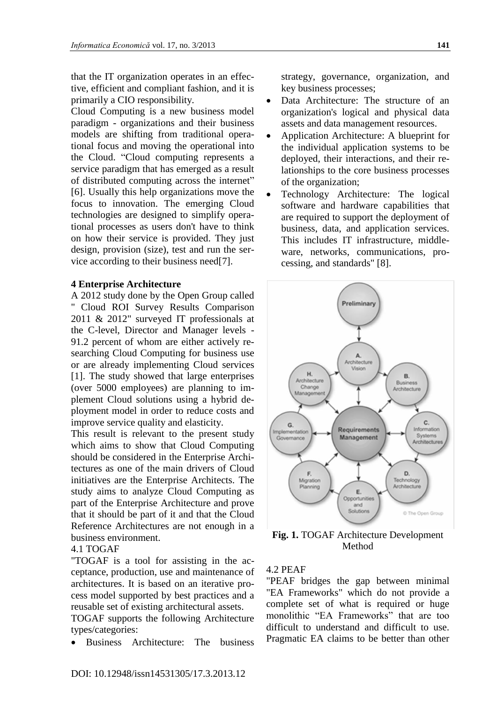that the IT organization operates in an effective, efficient and compliant fashion, and it is primarily a CIO responsibility.

Cloud Computing is a new business model paradigm - organizations and their business models are shifting from traditional operational focus and moving the operational into the Cloud. "Cloud computing represents a service paradigm that has emerged as a result of distributed computing across the internet" [6]. Usually this help organizations move the focus to innovation. The emerging Cloud technologies are designed to simplify operational processes as users don't have to think on how their service is provided. They just design, provision (size), test and run the service according to their business need[7].

#### **4 Enterprise Architecture**

A 2012 study done by the Open Group called " Cloud ROI Survey Results Comparison 2011 & 2012" surveyed IT professionals at the C-level, Director and Manager levels - 91.2 percent of whom are either actively researching Cloud Computing for business use or are already implementing Cloud services [1]. The study showed that large enterprises (over 5000 employees) are planning to implement Cloud solutions using a hybrid deployment model in order to reduce costs and improve service quality and elasticity.

This result is relevant to the present study which aims to show that Cloud Computing should be considered in the Enterprise Architectures as one of the main drivers of Cloud initiatives are the Enterprise Architects. The study aims to analyze Cloud Computing as part of the Enterprise Architecture and prove that it should be part of it and that the Cloud Reference Architectures are not enough in a business environment.

### 4.1 TOGAF

"TOGAF is a tool for assisting in the acceptance, production, use and maintenance of architectures. It is based on an iterative process model supported by best practices and a reusable set of existing architectural assets.

TOGAF supports the following Architecture types/categories:

Business Architecture: The business

strategy, governance, organization, and key business processes;

- Data Architecture: The structure of an organization's logical and physical data assets and data management resources.
- Application Architecture: A blueprint for the individual application systems to be deployed, their interactions, and their relationships to the core business processes of the organization;
- Technology Architecture: The logical software and hardware capabilities that are required to support the deployment of business, data, and application services. This includes IT infrastructure, middleware, networks, communications, processing, and standards" [8].



**Fig. 1.** TOGAF Architecture Development Method

#### 4.2 PEAF

"PEAF bridges the gap between minimal "EA Frameworks" which do not provide a complete set of what is required or huge monolithic "EA Frameworks" that are too difficult to understand and difficult to use. Pragmatic EA claims to be better than other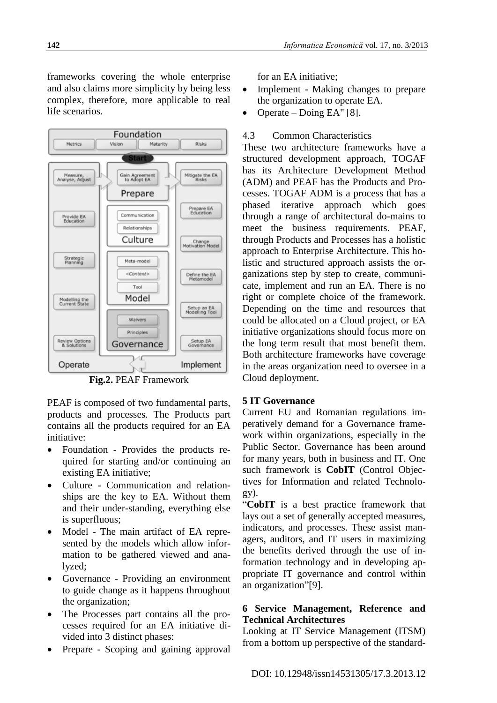frameworks covering the whole enterprise and also claims more simplicity by being less complex, therefore, more applicable to real life scenarios.



**Fig.2.** PEAF Framework

PEAF is composed of two fundamental parts, products and processes. The Products part contains all the products required for an EA initiative:

- Foundation Provides the products required for starting and/or continuing an existing EA initiative;
- Culture Communication and relationships are the key to EA. Without them and their under-standing, everything else is superfluous;
- Model The main artifact of EA represented by the models which allow information to be gathered viewed and analyzed;
- Governance Providing an environment to guide change as it happens throughout the organization;
- The Processes part contains all the processes required for an EA initiative divided into 3 distinct phases:
- Prepare Scoping and gaining approval

for an EA initiative;

- Implement Making changes to prepare the organization to operate EA.
- Operate Doing EA" [8].

# 4.3 Common Characteristics

These two architecture frameworks have a structured development approach, TOGAF has its Architecture Development Method (ADM) and PEAF has the Products and Processes. TOGAF ADM is a process that has a phased iterative approach which goes through a range of architectural do-mains to meet the business requirements. PEAF, through Products and Processes has a holistic approach to Enterprise Architecture. This holistic and structured approach assists the organizations step by step to create, communicate, implement and run an EA. There is no right or complete choice of the framework. Depending on the time and resources that could be allocated on a Cloud project, or EA initiative organizations should focus more on the long term result that most benefit them. Both architecture frameworks have coverage in the areas organization need to oversee in a Cloud deployment.

# **5 IT Governance**

Current EU and Romanian regulations imperatively demand for a Governance framework within organizations, especially in the Public Sector. Governance has been around for many years, both in business and IT. One such framework is **CobIT** (Control Objectives for Information and related Technology).

"**CobIT** is a best practice framework that lays out a set of generally accepted measures, indicators, and processes. These assist managers, auditors, and IT users in maximizing the benefits derived through the use of information technology and in developing appropriate IT governance and control within an organization"[9].

# **6 Service Management, Reference and Technical Architectures**

Looking at IT Service Management (ITSM) from a bottom up perspective of the standard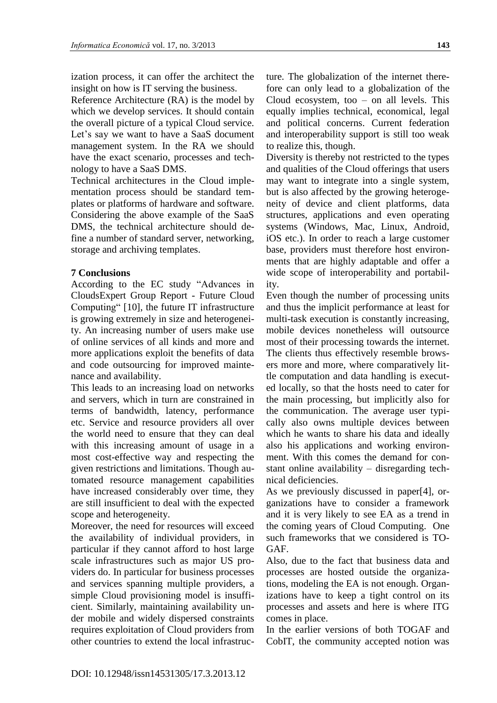ization process, it can offer the architect the insight on how is IT serving the business.

Reference Architecture (RA) is the model by which we develop services. It should contain the overall picture of a typical Cloud service. Let's say we want to have a SaaS document management system. In the RA we should have the exact scenario, processes and technology to have a SaaS DMS.

Technical architectures in the Cloud implementation process should be standard templates or platforms of hardware and software. Considering the above example of the SaaS DMS, the technical architecture should define a number of standard server, networking, storage and archiving templates.

### **7 Conclusions**

According to the EC study "Advances in CloudsExpert Group Report - Future Cloud Computing" [10], the future IT infrastructure is growing extremely in size and heterogeneity. An increasing number of users make use of online services of all kinds and more and more applications exploit the benefits of data and code outsourcing for improved maintenance and availability.

This leads to an increasing load on networks and servers, which in turn are constrained in terms of bandwidth, latency, performance etc. Service and resource providers all over the world need to ensure that they can deal with this increasing amount of usage in a most cost-effective way and respecting the given restrictions and limitations. Though automated resource management capabilities have increased considerably over time, they are still insufficient to deal with the expected scope and heterogeneity.

Moreover, the need for resources will exceed the availability of individual providers, in particular if they cannot afford to host large scale infrastructures such as major US providers do. In particular for business processes and services spanning multiple providers, a simple Cloud provisioning model is insufficient. Similarly, maintaining availability under mobile and widely dispersed constraints requires exploitation of Cloud providers from other countries to extend the local infrastructure. The globalization of the internet therefore can only lead to a globalization of the Cloud ecosystem, too – on all levels. This equally implies technical, economical, legal and political concerns. Current federation and interoperability support is still too weak to realize this, though.

Diversity is thereby not restricted to the types and qualities of the Cloud offerings that users may want to integrate into a single system, but is also affected by the growing heterogeneity of device and client platforms, data structures, applications and even operating systems (Windows, Mac, Linux, Android, iOS etc.). In order to reach a large customer base, providers must therefore host environments that are highly adaptable and offer a wide scope of interoperability and portability.

Even though the number of processing units and thus the implicit performance at least for multi-task execution is constantly increasing, mobile devices nonetheless will outsource most of their processing towards the internet. The clients thus effectively resemble browsers more and more, where comparatively little computation and data handling is executed locally, so that the hosts need to cater for the main processing, but implicitly also for the communication. The average user typically also owns multiple devices between which he wants to share his data and ideally also his applications and working environment. With this comes the demand for constant online availability – disregarding technical deficiencies.

As we previously discussed in paper[4], organizations have to consider a framework and it is very likely to see EA as a trend in the coming years of Cloud Computing. One such frameworks that we considered is TO-GAF.

Also, due to the fact that business data and processes are hosted outside the organizations, modeling the EA is not enough. Organizations have to keep a tight control on its processes and assets and here is where ITG comes in place.

In the earlier versions of both TOGAF and CobIT, the community accepted notion was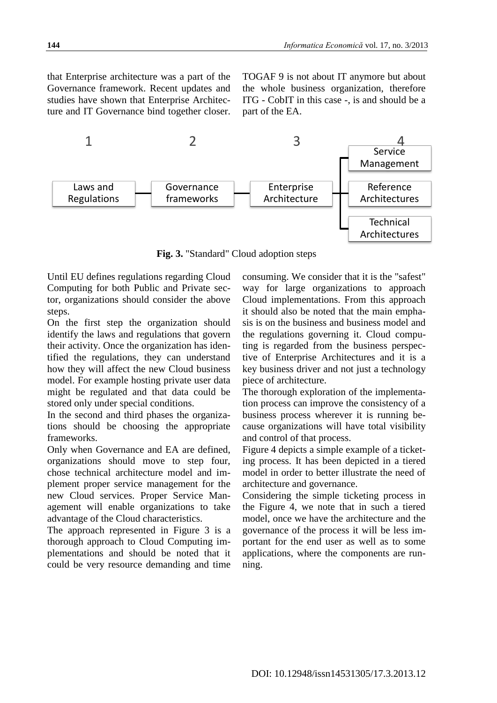that Enterprise architecture was a part of the Governance framework. Recent updates and studies have shown that Enterprise Architecture and IT Governance bind together closer. TOGAF 9 is not about IT anymore but about the whole business organization, therefore ITG - CobIT in this case -, is and should be a part of the EA.



**Fig. 3.** "Standard" Cloud adoption steps

Until EU defines regulations regarding Cloud Computing for both Public and Private sector, organizations should consider the above steps.

On the first step the organization should identify the laws and regulations that govern their activity. Once the organization has identified the regulations, they can understand how they will affect the new Cloud business model. For example hosting private user data might be regulated and that data could be stored only under special conditions.

In the second and third phases the organizations should be choosing the appropriate frameworks.

Only when Governance and EA are defined, organizations should move to step four, chose technical architecture model and implement proper service management for the new Cloud services. Proper Service Management will enable organizations to take advantage of the Cloud characteristics.

The approach represented in Figure 3 is a thorough approach to Cloud Computing implementations and should be noted that it could be very resource demanding and time consuming. We consider that it is the "safest" way for large organizations to approach Cloud implementations. From this approach it should also be noted that the main emphasis is on the business and business model and the regulations governing it. Cloud computing is regarded from the business perspective of Enterprise Architectures and it is a key business driver and not just a technology piece of architecture.

The thorough exploration of the implementation process can improve the consistency of a business process wherever it is running because organizations will have total visibility and control of that process.

Figure 4 depicts a simple example of a ticketing process. It has been depicted in a tiered model in order to better illustrate the need of architecture and governance.

Considering the simple ticketing process in the Figure 4, we note that in such a tiered model, once we have the architecture and the governance of the process it will be less important for the end user as well as to some applications, where the components are running.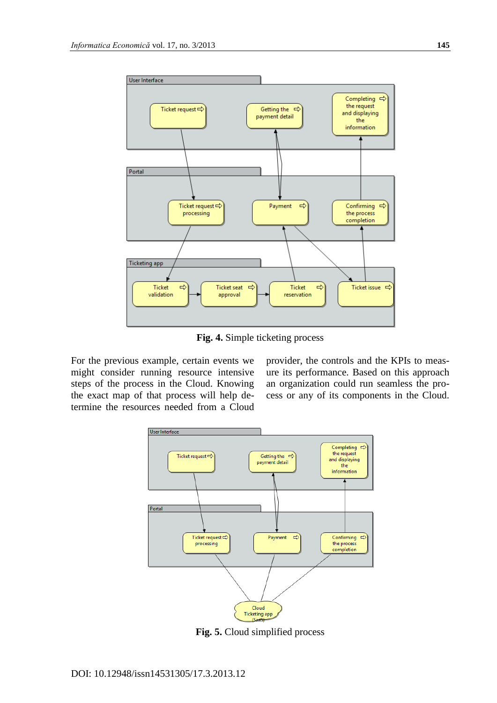

**Fig. 4.** Simple ticketing process

For the previous example, certain events we might consider running resource intensive steps of the process in the Cloud. Knowing the exact map of that process will help determine the resources needed from a Cloud

provider, the controls and the KPIs to measure its performance. Based on this approach an organization could run seamless the process or any of its components in the Cloud.



**Fig. 5.** Cloud simplified process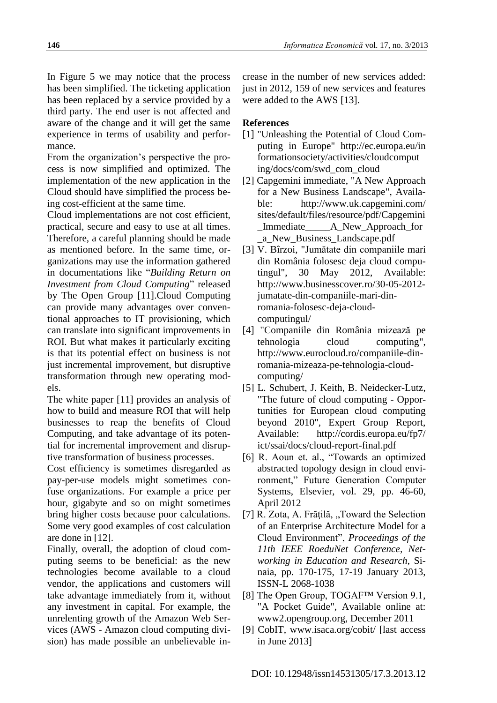In Figure 5 we may notice that the process has been simplified. The ticketing application has been replaced by a service provided by a third party. The end user is not affected and aware of the change and it will get the same experience in terms of usability and performance.

From the organization's perspective the process is now simplified and optimized. The implementation of the new application in the Cloud should have simplified the process being cost-efficient at the same time.

Cloud implementations are not cost efficient, practical, secure and easy to use at all times. Therefore, a careful planning should be made as mentioned before. In the same time, organizations may use the information gathered in documentations like "*Building Return on Investment from Cloud Computing*" released by The Open Group [11].Cloud Computing can provide many advantages over conventional approaches to IT provisioning, which can translate into significant improvements in ROI. But what makes it particularly exciting is that its potential effect on business is not just incremental improvement, but disruptive transformation through new operating models.

The white paper [11] provides an analysis of how to build and measure ROI that will help businesses to reap the benefits of Cloud Computing, and take advantage of its potential for incremental improvement and disruptive transformation of business processes.

Cost efficiency is sometimes disregarded as pay-per-use models might sometimes confuse organizations. For example a price per hour, gigabyte and so on might sometimes bring higher costs because poor calculations. Some very good examples of cost calculation are done in [12].

Finally, overall, the adoption of cloud computing seems to be beneficial: as the new technologies become available to a cloud vendor, the applications and customers will take advantage immediately from it, without any investment in capital. For example, the unrelenting growth of the Amazon Web Services (AWS - Amazon cloud computing division) has made possible an unbelievable increase in the number of new services added: just in 2012, 159 of new services and features were added to the AWS [13].

#### **References**

- [1] "Unleashing the Potential of Cloud Computing in Europe" http://ec.europa.eu/in formationsociety/activities/cloudcomput ing/docs/com/swd\_com\_cloud
- [2] Capgemini immediate, "A New Approach for a New Business Landscape", Available: http://www.uk.capgemini.com/ sites/default/files/resource/pdf/Capgemini Immediate A New Approach for \_a\_New\_Business\_Landscape.pdf
- [3] V. Bîrzoi, "Jumătate din companiile mari din România folosesc deja cloud computingul", 30 May 2012, Available: http://www.businesscover.ro/30-05-2012 jumatate-din-companiile-mari-dinromania-folosesc-deja-cloudcomputingul/
- [4] "Companiile din România mizează pe tehnologia cloud computing", http://www.eurocloud.ro/companiile-dinromania-mizeaza-pe-tehnologia-cloudcomputing/
- [5] L. Schubert, J. Keith, B. Neidecker-Lutz, "The future of cloud computing - Opportunities for European cloud computing beyond 2010", Expert Group Report, Available: http://cordis.europa.eu/fp7/ ict/ssai/docs/cloud-report-final.pdf
- [6] R. Aoun et. al., "Towards an optimized abstracted topology design in cloud environment," Future Generation Computer Systems, Elsevier, vol. 29, pp. 46-60, April 2012
- $[7]$  R. Zota, A. Frățilă, "Toward the Selection of an Enterprise Architecture Model for a Cloud Environment", *Proceedings of the 11th IEEE RoeduNet Conference, Networking in Education and Research*, Sinaia, pp. 170-175, 17-19 January 2013, ISSN-L 2068-1038
- [8] The Open Group, TOGAF™ Version 9.1, "A Pocket Guide", Available online at: www2.opengroup.org, December 2011
- [9] CobIT, www.isaca.org/cobit/ [last access in June 2013]